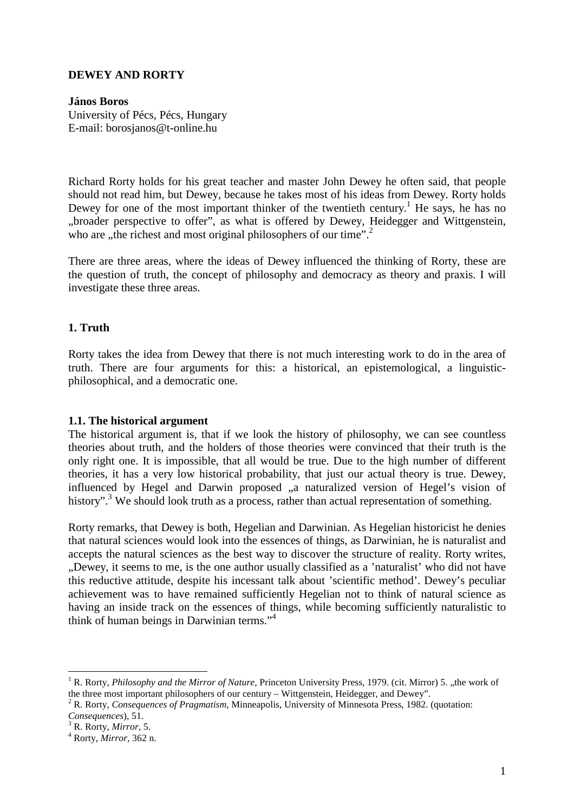## **DEWEY AND RORTY**

### **János Boros**

University of Pécs, Pécs, Hungary E-mail: borosjanos@t-online.hu

Richard Rorty holds for his great teacher and master John Dewey he often said, that people should not read him, but Dewey, because he takes most of his ideas from Dewey. Rorty holds Dewey for one of the most important thinker of the twentieth century.<sup>1</sup> He says, he has no "broader perspective to offer", as what is offered by Dewey, Heidegger and Wittgenstein, who are "the richest and most original philosophers of our time".<sup>2</sup>

There are three areas, where the ideas of Dewey influenced the thinking of Rorty, these are the question of truth, the concept of philosophy and democracy as theory and praxis. I will investigate these three areas.

# **1. Truth**

Rorty takes the idea from Dewey that there is not much interesting work to do in the area of truth. There are four arguments for this: a historical, an epistemological, a linguisticphilosophical, and a democratic one.

#### **1.1. The historical argument**

The historical argument is, that if we look the history of philosophy, we can see countless theories about truth, and the holders of those theories were convinced that their truth is the only right one. It is impossible, that all would be true. Due to the high number of different theories, it has a very low historical probability, that just our actual theory is true. Dewey, influenced by Hegel and Darwin proposed "a naturalized version of Hegel's vision of history".<sup>3</sup> We should look truth as a process, rather than actual representation of something.

Rorty remarks, that Dewey is both, Hegelian and Darwinian. As Hegelian historicist he denies that natural sciences would look into the essences of things, as Darwinian, he is naturalist and accepts the natural sciences as the best way to discover the structure of reality. Rorty writes, ..Dewey, it seems to me, is the one author usually classified as a 'naturalist' who did not have this reductive attitude, despite his incessant talk about 'scientific method'. Dewey's peculiar achievement was to have remained sufficiently Hegelian not to think of natural science as having an inside track on the essences of things, while becoming sufficiently naturalistic to think of human beings in Darwinian terms."<sup>4</sup>

<sup>&</sup>lt;sup>1</sup> R. Rorty, *Philosophy and the Mirror of Nature*, Princeton University Press, 1979. (cit. Mirror) 5. "the work of the three most important philosophers of our century – Wittgenstein, Heidegger, and Dewey".

<sup>2</sup> R. Rorty, *Consequences of Pragmatism,* Minneapolis, University of Minnesota Press, 1982. (quotation: *Consequences*), 51.

<sup>3</sup> R. Rorty, *Mirror,* 5.

<sup>4</sup> Rorty, *Mirror,* 362 n.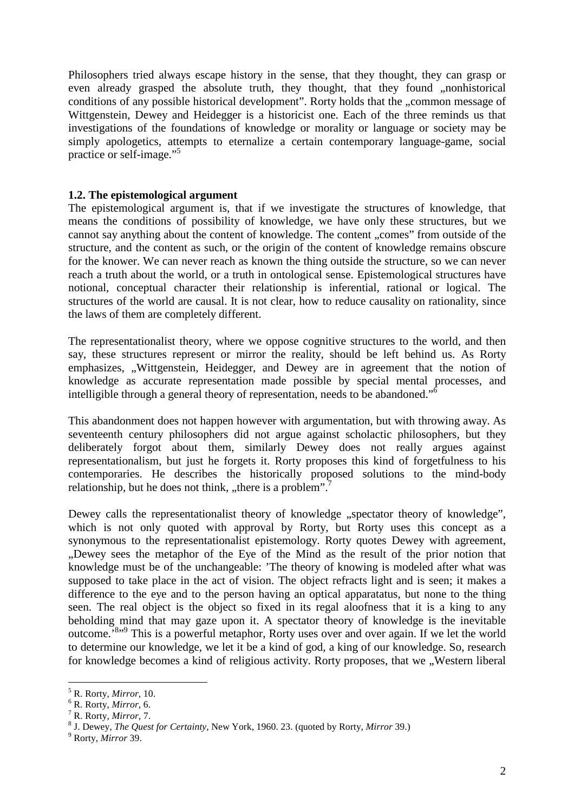Philosophers tried always escape history in the sense, that they thought, they can grasp or even already grasped the absolute truth, they thought, that they found "nonhistorical conditions of any possible historical development". Rorty holds that the "common message of Wittgenstein, Dewey and Heidegger is a historicist one. Each of the three reminds us that investigations of the foundations of knowledge or morality or language or society may be simply apologetics, attempts to eternalize a certain contemporary language-game, social practice or self-image."<sup>5</sup>

### **1.2. The epistemological argument**

The epistemological argument is, that if we investigate the structures of knowledge, that means the conditions of possibility of knowledge, we have only these structures, but we cannot say anything about the content of knowledge. The content "comes" from outside of the structure, and the content as such, or the origin of the content of knowledge remains obscure for the knower. We can never reach as known the thing outside the structure, so we can never reach a truth about the world, or a truth in ontological sense. Epistemological structures have notional, conceptual character their relationship is inferential, rational or logical. The structures of the world are causal. It is not clear, how to reduce causality on rationality, since the laws of them are completely different.

The representationalist theory, where we oppose cognitive structures to the world, and then say, these structures represent or mirror the reality, should be left behind us. As Rorty emphasizes, "Wittgenstein, Heidegger, and Dewey are in agreement that the notion of knowledge as accurate representation made possible by special mental processes, and intelligible through a general theory of representation, needs to be abandoned."<sup>6</sup>

This abandonment does not happen however with argumentation, but with throwing away. As seventeenth century philosophers did not argue against scholactic philosophers, but they deliberately forgot about them, similarly Dewey does not really argues against representationalism, but just he forgets it. Rorty proposes this kind of forgetfulness to his contemporaries. He describes the historically proposed solutions to the mind-body relationship, but he does not think, "there is a problem". $\frac{7}{1}$ 

Dewey calls the representationalist theory of knowledge "spectator theory of knowledge", which is not only quoted with approval by Rorty, but Rorty uses this concept as a synonymous to the representationalist epistemology. Rorty quotes Dewey with agreement, ..Dewey sees the metaphor of the Eye of the Mind as the result of the prior notion that knowledge must be of the unchangeable: 'The theory of knowing is modeled after what was supposed to take place in the act of vision. The object refracts light and is seen; it makes a difference to the eye and to the person having an optical apparatatus, but none to the thing seen. The real object is the object so fixed in its regal aloofness that it is a king to any beholding mind that may gaze upon it. A spectator theory of knowledge is the inevitable outcome.<sup>8,,9</sup> This is a powerful metaphor, Rorty uses over and over again. If we let the world to determine our knowledge, we let it be a kind of god, a king of our knowledge. So, research for knowledge becomes a kind of religious activity. Rorty proposes, that we "Western liberal"

 $\overline{a}$ 5 R. Rorty, *Mirror,* 10.

<sup>6</sup> R. Rorty, *Mirror*, 6.

<sup>7</sup> R. Rorty, *Mirror,* 7.

<sup>8</sup> J. Dewey, *The Quest for Certainty,* New York, 1960. 23. (quoted by Rorty, *Mirror* 39.)

<sup>9</sup> Rorty, *Mirror* 39.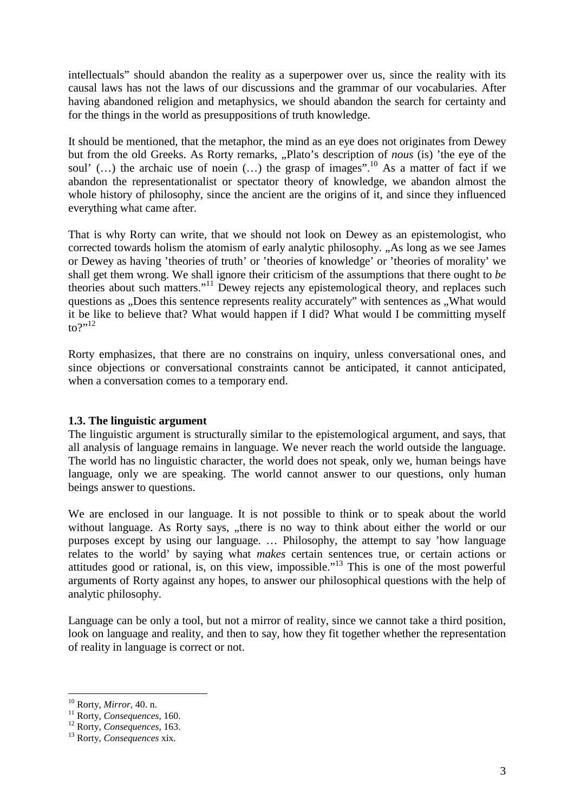intellectuals" should abandon the reality as a superpower over us, since the reality with its causal laws has not the laws of our discussions and the grammar of our vocabularies. After having abandoned religion and metaphysics, we should abandon the search for certainty and for the things in the world as presuppositions of truth knowledge.

It should be mentioned, that the metaphor, the mind as an eye does not originates from Dewey but from the old Greeks. As Rorty remarks, "Plato's description of *nous* (is) 'the eye of the soul'  $(...)$  the archaic use of noein  $(...)$  the grasp of images".<sup>10</sup> As a matter of fact if we abandon the representationalist or spectator theory of knowledge, we abandon almost the whole history of philosophy, since the ancient are the origins of it, and since they influenced everything what came after.

That is why Rorty can write, that we should not look on Dewey as an epistemologist, who corrected towards holism the atomism of early analytic philosophy. "As long as we see James" or Dewey as having 'theories of truth' or 'theories of knowledge' or 'theories of morality' we shall get them wrong. We shall ignore their criticism of the assumptions that there ought to *be*  theories about such matters."<sup>11</sup> Dewey rejects any epistemological theory, and replaces such questions as "Does this sentence represents reality accurately" with sentences as "What would it be like to believe that? What would happen if I did? What would I be committing myself to?" $^{12}$ 

Rorty emphasizes, that there are no constrains on inquiry, unless conversational ones, and since objections or conversational constraints cannot be anticipated, it cannot anticipated, when a conversation comes to a temporary end.

# **1.3. The linguistic argument**

The linguistic argument is structurally similar to the epistemological argument, and says, that all analysis of language remains in language. We never reach the world outside the language. The world has no linguistic character, the world does not speak, only we, human beings have language, only we are speaking. The world cannot answer to our questions, only human beings answer to questions.

We are enclosed in our language. It is not possible to think or to speak about the world without language. As Rorty says, "there is no way to think about either the world or our purposes except by using our language. … Philosophy, the attempt to say 'how language relates to the world' by saying what *makes* certain sentences true, or certain actions or attitudes good or rational, is, on this view, impossible."<sup>13</sup> This is one of the most powerful arguments of Rorty against any hopes, to answer our philosophical questions with the help of analytic philosophy.

Language can be only a tool, but not a mirror of reality, since we cannot take a third position, look on language and reality, and then to say, how they fit together whether the representation of reality in language is correct or not.

<sup>10</sup> Rorty, *Mirror,* 40. n.

<sup>11</sup> Rorty, *Consequences,* 160.

<sup>12</sup> Rorty, *Consequences,* 163.

<sup>13</sup> Rorty, *Consequences* xix.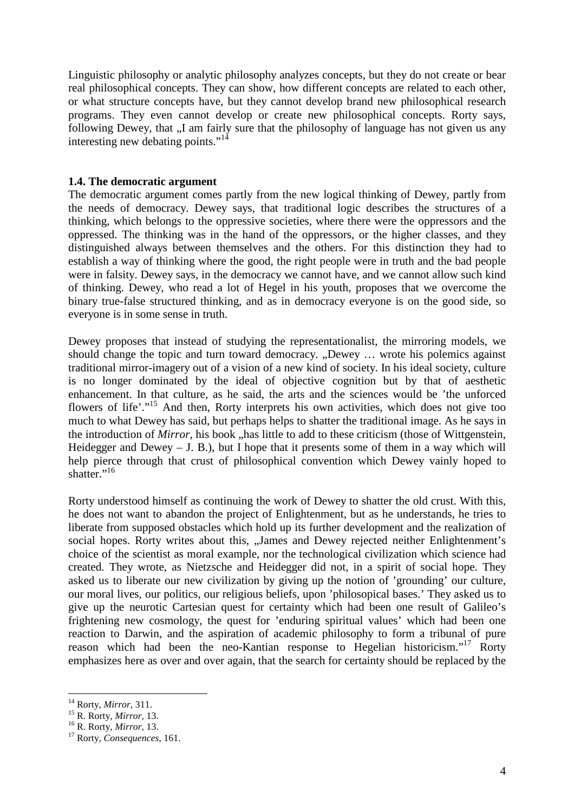Linguistic philosophy or analytic philosophy analyzes concepts, but they do not create or bear real philosophical concepts. They can show, how different concepts are related to each other, or what structure concepts have, but they cannot develop brand new philosophical research programs. They even cannot develop or create new philosophical concepts. Rorty says, following Dewey, that "I am fairly sure that the philosophy of language has not given us any interesting new debating points."<sup>14</sup>

### **1.4. The democratic argument**

The democratic argument comes partly from the new logical thinking of Dewey, partly from the needs of democracy. Dewey says, that traditional logic describes the structures of a thinking, which belongs to the oppressive societies, where there were the oppressors and the oppressed. The thinking was in the hand of the oppressors, or the higher classes, and they distinguished always between themselves and the others. For this distinction they had to establish a way of thinking where the good, the right people were in truth and the bad people were in falsity. Dewey says, in the democracy we cannot have, and we cannot allow such kind of thinking. Dewey, who read a lot of Hegel in his youth, proposes that we overcome the binary true-false structured thinking, and as in democracy everyone is on the good side, so everyone is in some sense in truth.

Dewey proposes that instead of studying the representationalist, the mirroring models, we should change the topic and turn toward democracy. "Dewey ... wrote his polemics against traditional mirror-imagery out of a vision of a new kind of society. In his ideal society, culture is no longer dominated by the ideal of objective cognition but by that of aesthetic enhancement. In that culture, as he said, the arts and the sciences would be 'the unforced flowers of life'."<sup>15</sup> And then, Rorty interprets his own activities, which does not give too much to what Dewey has said, but perhaps helps to shatter the traditional image. As he says in the introduction of *Mirror*, his book "has little to add to these criticism (those of Wittgenstein, Heidegger and Dewey  $-$  J. B.), but I hope that it presents some of them in a way which will help pierce through that crust of philosophical convention which Dewey vainly hoped to shatter." $^{16}$ 

Rorty understood himself as continuing the work of Dewey to shatter the old crust. With this, he does not want to abandon the project of Enlightenment, but as he understands, he tries to liberate from supposed obstacles which hold up its further development and the realization of social hopes. Rorty writes about this, "James and Dewey rejected neither Enlightenment's choice of the scientist as moral example, nor the technological civilization which science had created. They wrote, as Nietzsche and Heidegger did not, in a spirit of social hope. They asked us to liberate our new civilization by giving up the notion of 'grounding' our culture, our moral lives, our politics, our religious beliefs, upon 'philosopical bases.' They asked us to give up the neurotic Cartesian quest for certainty which had been one result of Galileo's frightening new cosmology, the quest for 'enduring spiritual values' which had been one reaction to Darwin, and the aspiration of academic philosophy to form a tribunal of pure reason which had been the neo-Kantian response to Hegelian historicism."<sup>17</sup> Rorty emphasizes here as over and over again, that the search for certainty should be replaced by the

<sup>14</sup> Rorty, *Mirror,* 311.

<sup>15</sup> R. Rorty, *Mirror,* 13.

<sup>16</sup> R. Rorty, *Mirror,* 13.

<sup>17</sup> Rorty, *Consequences*, 161.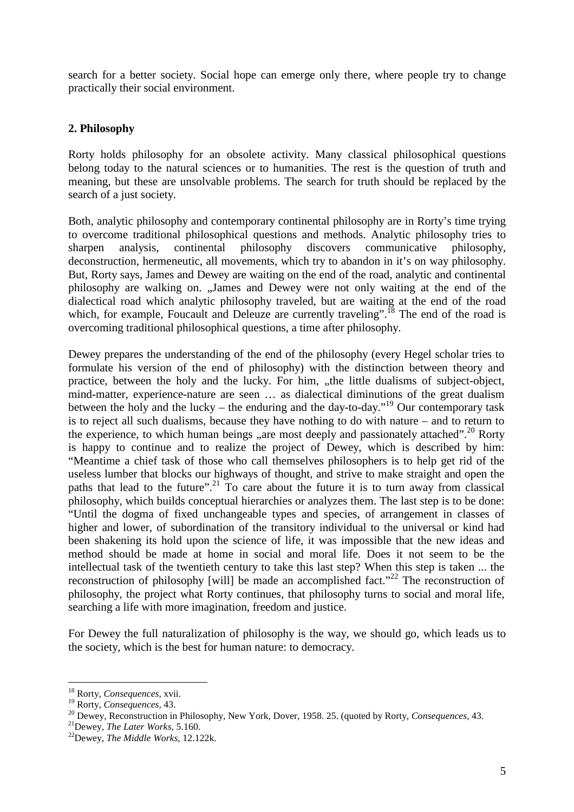search for a better society. Social hope can emerge only there, where people try to change practically their social environment.

## **2. Philosophy**

Rorty holds philosophy for an obsolete activity. Many classical philosophical questions belong today to the natural sciences or to humanities. The rest is the question of truth and meaning, but these are unsolvable problems. The search for truth should be replaced by the search of a just society.

Both, analytic philosophy and contemporary continental philosophy are in Rorty's time trying to overcome traditional philosophical questions and methods. Analytic philosophy tries to sharpen analysis, continental philosophy discovers communicative philosophy, deconstruction, hermeneutic, all movements, which try to abandon in it's on way philosophy. But, Rorty says, James and Dewey are waiting on the end of the road, analytic and continental philosophy are walking on. "James and Dewey were not only waiting at the end of the dialectical road which analytic philosophy traveled, but are waiting at the end of the road which, for example, Foucault and Deleuze are currently traveling".<sup>18</sup> The end of the road is overcoming traditional philosophical questions, a time after philosophy.

Dewey prepares the understanding of the end of the philosophy (every Hegel scholar tries to formulate his version of the end of philosophy) with the distinction between theory and practice, between the holy and the lucky. For him, "the little dualisms of subject-object, mind-matter, experience-nature are seen … as dialectical diminutions of the great dualism between the holy and the lucky – the enduring and the day-to-day.<sup> $19$ </sup> Our contemporary task is to reject all such dualisms, because they have nothing to do with nature – and to return to the experience, to which human beings , are most deeply and passionately attached".<sup>20</sup> Rorty is happy to continue and to realize the project of Dewey, which is described by him: "Meantime a chief task of those who call themselves philosophers is to help get rid of the useless lumber that blocks our highways of thought, and strive to make straight and open the paths that lead to the future".<sup>21</sup> To care about the future it is to turn away from classical philosophy, which builds conceptual hierarchies or analyzes them. The last step is to be done: "Until the dogma of fixed unchangeable types and species, of arrangement in classes of higher and lower, of subordination of the transitory individual to the universal or kind had been shakening its hold upon the science of life, it was impossible that the new ideas and method should be made at home in social and moral life. Does it not seem to be the intellectual task of the twentieth century to take this last step? When this step is taken ... the reconstruction of philosophy [will] be made an accomplished fact."<sup>22</sup> The reconstruction of philosophy, the project what Rorty continues, that philosophy turns to social and moral life, searching a life with more imagination, freedom and justice.

For Dewey the full naturalization of philosophy is the way, we should go, which leads us to the society, which is the best for human nature: to democracy.

<sup>18</sup> Rorty, *Consequences*, xvii.

<sup>19</sup> Rorty, *Consequences,* 43.

<sup>20</sup> Dewey, Reconstruction in Philosophy, New York, Dover, 1958. 25. (quoted by Rorty, *Consequences,* 43.

<sup>21</sup>Dewey, *The Later Works,* 5.160.

<sup>22</sup>Dewey, *The Middle Works,* 12.122k.